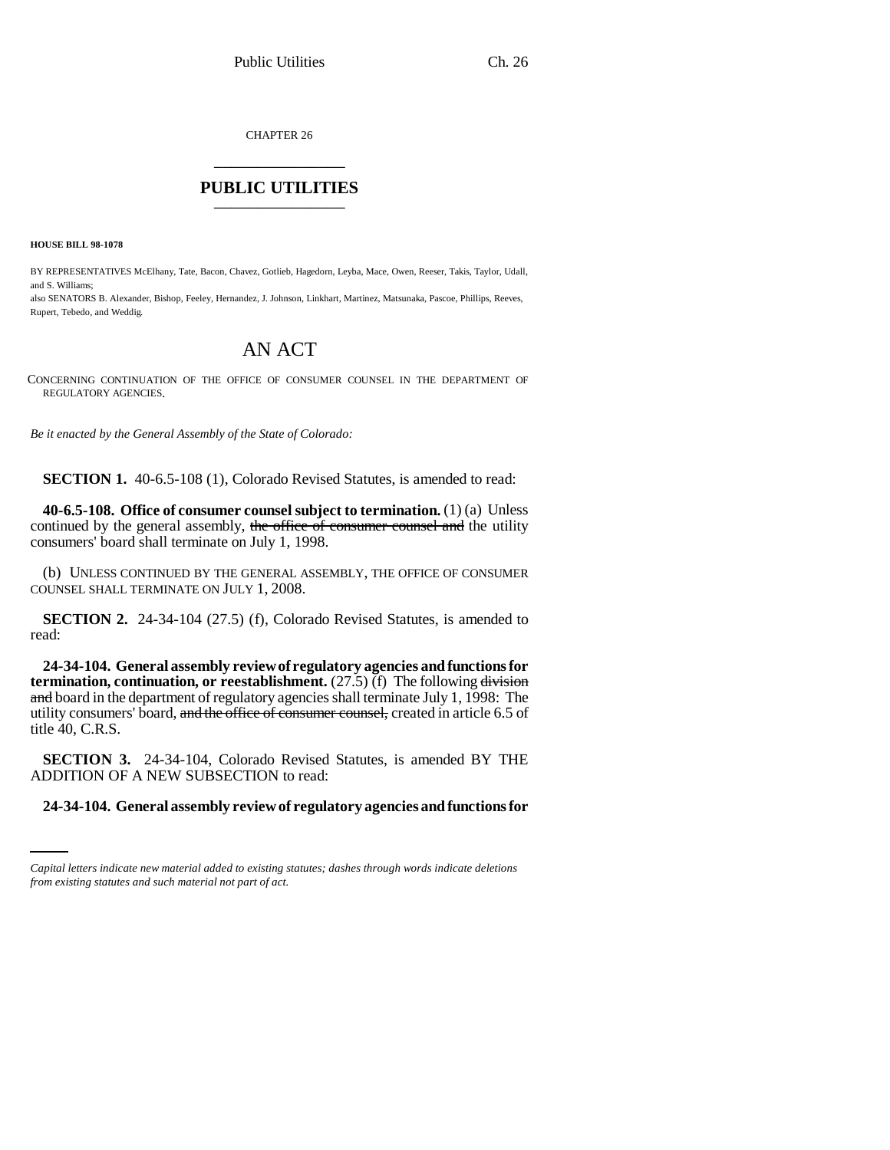CHAPTER 26 \_\_\_\_\_\_\_\_\_\_\_\_\_\_\_

## **PUBLIC UTILITIES** \_\_\_\_\_\_\_\_\_\_\_\_\_\_\_

**HOUSE BILL 98-1078**

BY REPRESENTATIVES McElhany, Tate, Bacon, Chavez, Gotlieb, Hagedorn, Leyba, Mace, Owen, Reeser, Takis, Taylor, Udall, and S. Williams;

also SENATORS B. Alexander, Bishop, Feeley, Hernandez, J. Johnson, Linkhart, Martinez, Matsunaka, Pascoe, Phillips, Reeves, Rupert, Tebedo, and Weddig.

## AN ACT

CONCERNING CONTINUATION OF THE OFFICE OF CONSUMER COUNSEL IN THE DEPARTMENT OF REGULATORY AGENCIES.

*Be it enacted by the General Assembly of the State of Colorado:*

**SECTION 1.** 40-6.5-108 (1), Colorado Revised Statutes, is amended to read:

**40-6.5-108. Office of consumer counsel subject to termination.** (1) (a) Unless continued by the general assembly, the office of consumer counsel and the utility consumers' board shall terminate on July 1, 1998.

(b) UNLESS CONTINUED BY THE GENERAL ASSEMBLY, THE OFFICE OF CONSUMER COUNSEL SHALL TERMINATE ON JULY 1, 2008.

**SECTION 2.** 24-34-104 (27.5) (f), Colorado Revised Statutes, is amended to read:

**24-34-104. General assembly review of regulatory agencies and functions for termination, continuation, or reestablishment.** (27.5) (f) The following division and board in the department of regulatory agencies shall terminate July 1, 1998: The utility consumers' board, and the office of consumer counsel, created in article 6.5 of title 40, C.R.S.

ADDITION OF A NEW SUBSECTION to read: **SECTION 3.** 24-34-104, Colorado Revised Statutes, is amended BY THE

## **24-34-104. General assembly review of regulatory agencies and functions for**

*Capital letters indicate new material added to existing statutes; dashes through words indicate deletions from existing statutes and such material not part of act.*